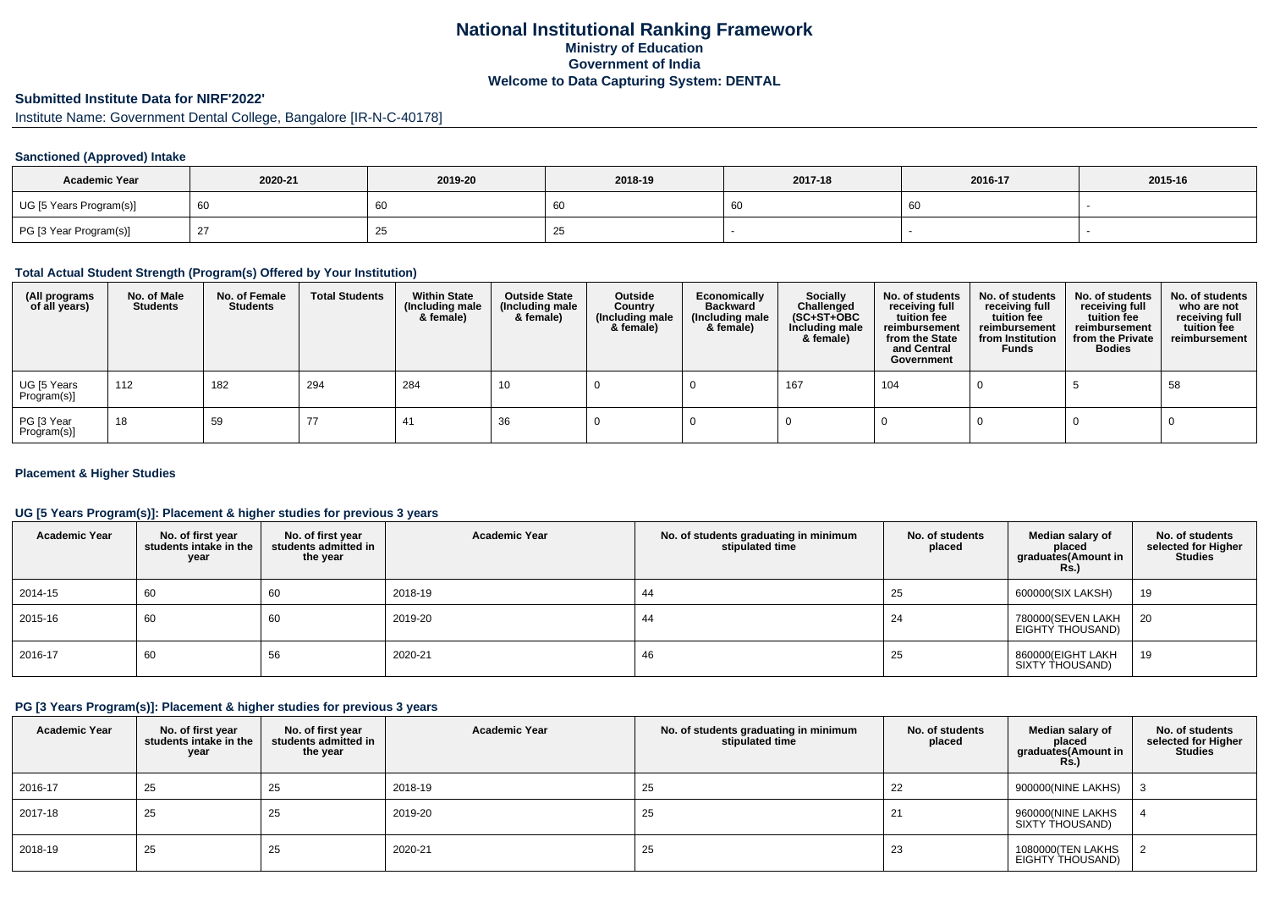## **National Institutional Ranking FrameworkMinistry of Education Government of IndiaWelcome to Data Capturing System: DENTAL**

# **Submitted Institute Data for NIRF'2022'**

Institute Name: Government Dental College, Bangalore [IR-N-C-40178]

#### **Sanctioned (Approved) Intake**

| <b>Academic Year</b>    | 2020-21 | 2019-20 | 2018-19 | 2017-18 | 2016-17 | 2015-16 |
|-------------------------|---------|---------|---------|---------|---------|---------|
| UG [5 Years Program(s)] |         | 60      | 60      |         | 60      |         |
| PG [3 Year Program(s)]  |         | دے      | ں ے     |         |         |         |

#### **Total Actual Student Strength (Program(s) Offered by Your Institution)**

| (All programs<br>of all years) | No. of Male<br><b>Students</b> | No. of Female<br>Students | <b>Total Students</b> | <b>Within State</b><br>(Including male<br>& female) | <b>Outside State</b><br>(Including male<br>& female) | Outside<br>Country<br>(Including male<br>& female) | Economically<br>Backward<br>(Including male<br>& female) | <b>Socially</b><br>Challenged<br>$(SC+ST+OBC)$<br>Including male<br>& female) | No. of students<br>receiving full<br>tuition fee<br>reimbursement<br>from the State<br>and Central<br>Government | No. of students<br>receiving full<br>tuition fee<br>reimbursement<br>from Institution<br><b>Funds</b> | No. of students<br>receiving full<br>tuition fee<br>reimbursement<br>from the Private<br><b>Bodies</b> | No. of students<br>who are not<br>receiving full<br>tuition fee<br>reimbursement |
|--------------------------------|--------------------------------|---------------------------|-----------------------|-----------------------------------------------------|------------------------------------------------------|----------------------------------------------------|----------------------------------------------------------|-------------------------------------------------------------------------------|------------------------------------------------------------------------------------------------------------------|-------------------------------------------------------------------------------------------------------|--------------------------------------------------------------------------------------------------------|----------------------------------------------------------------------------------|
| UG [5 Years<br>Program(s)]     | 112                            | 182                       | 294                   | 284                                                 | 10                                                   |                                                    |                                                          | 167                                                                           | 104                                                                                                              |                                                                                                       |                                                                                                        | 58                                                                               |
| PG [3 Year<br>Program(s)]      | 18                             | 59                        | $\prime\prime$        | 41                                                  | 36                                                   |                                                    |                                                          |                                                                               |                                                                                                                  |                                                                                                       |                                                                                                        |                                                                                  |

#### **Placement & Higher Studies**

#### **UG [5 Years Program(s)]: Placement & higher studies for previous 3 years**

| <b>Academic Year</b> | No. of first year<br>students intake in the<br>year | No. of first vear<br>students admitted in<br>the year | <b>Academic Year</b> | No. of students graduating in minimum<br>stipulated time | No. of students<br>placed | Median salary of<br>placed<br>graduates(Amount in<br>Rs.) | No. of students<br>selected for Higher<br><b>Studies</b> |
|----------------------|-----------------------------------------------------|-------------------------------------------------------|----------------------|----------------------------------------------------------|---------------------------|-----------------------------------------------------------|----------------------------------------------------------|
| 2014-15              | 60                                                  | 60                                                    | 2018-19              | -44                                                      | 25                        | 600000(SIX LAKSH)                                         | 19                                                       |
| 2015-16              | 60                                                  | 60                                                    | 2019-20              | 44                                                       | 24                        | 780000(SEVEN LAKH<br>EIGHTY THOUSAND)                     | 20                                                       |
| 2016-17              | 60                                                  | 56                                                    | 2020-21              | 46                                                       | 25                        | 860000(EIGHT LAKH<br>SIXTY THOUSAND)                      | 19                                                       |

#### **PG [3 Years Program(s)]: Placement & higher studies for previous 3 years**

| <b>Academic Year</b> | No. of first year<br>students intake in the<br>year | No. of first year<br>students admitted in<br>the year | <b>Academic Year</b> | No. of students graduating in minimum<br>stipulated time | No. of students<br>placed | Median salary of<br>placed<br>graduates(Amount in<br><b>Rs.)</b> | No. of students<br>selected for Higher<br><b>Studies</b> |
|----------------------|-----------------------------------------------------|-------------------------------------------------------|----------------------|----------------------------------------------------------|---------------------------|------------------------------------------------------------------|----------------------------------------------------------|
| 2016-17              | 25                                                  | 25                                                    | 2018-19              | 25                                                       | 22                        | 900000(NINE LAKHS)                                               |                                                          |
| 2017-18              | 25                                                  | 25                                                    | 2019-20              | 25                                                       | 21                        | 960000(NINE LAKHS<br>SIXTY THOUSAND)                             |                                                          |
| 2018-19              | 25                                                  | 25                                                    | 2020-21              | 25                                                       | 23                        | 1080000 (TEN LAKHS<br>EIGHTY THOUSAND)                           |                                                          |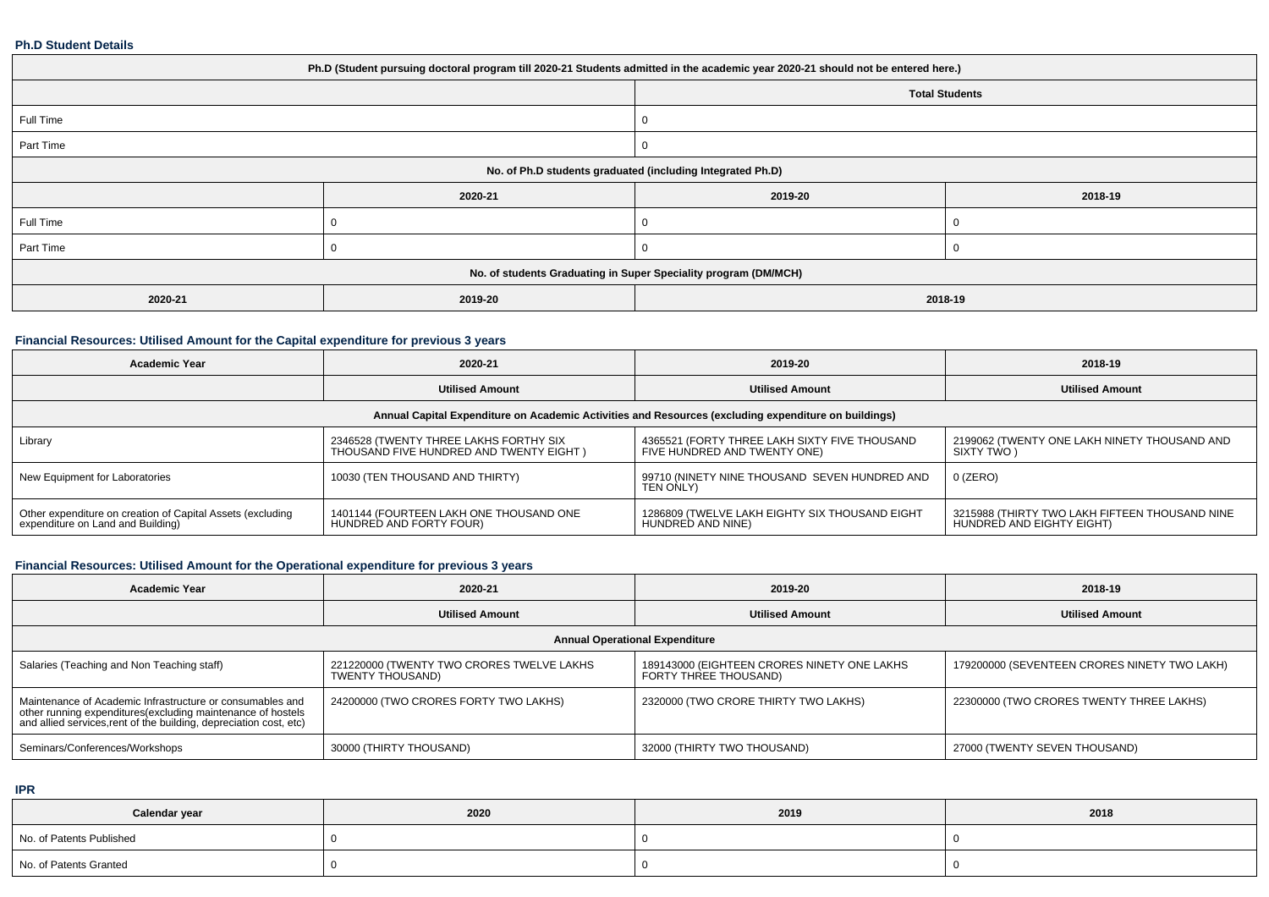#### **Ph.D Student Details**

| Ph.D (Student pursuing doctoral program till 2020-21 Students admitted in the academic year 2020-21 should not be entered here.) |         |                                                                 |         |  |  |  |  |
|----------------------------------------------------------------------------------------------------------------------------------|---------|-----------------------------------------------------------------|---------|--|--|--|--|
|                                                                                                                                  |         | <b>Total Students</b>                                           |         |  |  |  |  |
| Full Time                                                                                                                        |         |                                                                 |         |  |  |  |  |
| Part Time                                                                                                                        |         |                                                                 |         |  |  |  |  |
| No. of Ph.D students graduated (including Integrated Ph.D)                                                                       |         |                                                                 |         |  |  |  |  |
|                                                                                                                                  | 2020-21 | 2019-20                                                         | 2018-19 |  |  |  |  |
| Full Time                                                                                                                        |         |                                                                 |         |  |  |  |  |
| Part Time                                                                                                                        |         |                                                                 |         |  |  |  |  |
|                                                                                                                                  |         | No. of students Graduating in Super Speciality program (DM/MCH) |         |  |  |  |  |
| 2020-21                                                                                                                          | 2019-20 | 2018-19                                                         |         |  |  |  |  |

### **Financial Resources: Utilised Amount for the Capital expenditure for previous 3 years**

| Academic Year                                                                                        | 2020-21                                                                           | 2019-20                                                                       | 2018-19                                                                     |  |  |  |  |  |
|------------------------------------------------------------------------------------------------------|-----------------------------------------------------------------------------------|-------------------------------------------------------------------------------|-----------------------------------------------------------------------------|--|--|--|--|--|
|                                                                                                      | <b>Utilised Amount</b><br><b>Utilised Amount</b>                                  |                                                                               | <b>Utilised Amount</b>                                                      |  |  |  |  |  |
| Annual Capital Expenditure on Academic Activities and Resources (excluding expenditure on buildings) |                                                                                   |                                                                               |                                                                             |  |  |  |  |  |
| Library                                                                                              | 2346528 (TWENTY THREE LAKHS FORTHY SIX<br>THOUSAND FIVE HUNDRED AND TWENTY EIGHT) | 4365521 (FORTY THREE LAKH SIXTY FIVE THOUSAND<br>FIVE HUNDRED AND TWENTY ONE) | 2199062 (TWENTY ONE LAKH NINETY THOUSAND AND<br>SIXTY TWO )                 |  |  |  |  |  |
| New Equipment for Laboratories                                                                       | 10030 (TEN THOUSAND AND THIRTY)                                                   | 99710 (NINETY NINE THOUSAND SEVEN HUNDRED AND<br>TEN ONLY)                    | $0$ (ZERO)                                                                  |  |  |  |  |  |
| Other expenditure on creation of Capital Assets (excluding<br>expenditure on Land and Building)      | 1401144 (FOURTEEN LAKH ONE THOUSAND ONE<br>HUNDRED AND FORTY FOUR)                | 1286809 (TWELVE LAKH EIGHTY SIX THOUSAND EIGHT<br>HUNDRED AND NINE)           | 3215988 (THIRTY TWO LAKH FIFTEEN THOUSAND NINE<br>HUNDRED AND EIGHTY EIGHT) |  |  |  |  |  |

### **Financial Resources: Utilised Amount for the Operational expenditure for previous 3 years**

| <b>Academic Year</b>                                                                                                                                                                            | 2020-21                                                       | 2019-20                                                              | 2018-19                                      |  |  |  |  |  |
|-------------------------------------------------------------------------------------------------------------------------------------------------------------------------------------------------|---------------------------------------------------------------|----------------------------------------------------------------------|----------------------------------------------|--|--|--|--|--|
|                                                                                                                                                                                                 | <b>Utilised Amount</b>                                        | <b>Utilised Amount</b>                                               | <b>Utilised Amount</b>                       |  |  |  |  |  |
| <b>Annual Operational Expenditure</b>                                                                                                                                                           |                                                               |                                                                      |                                              |  |  |  |  |  |
| Salaries (Teaching and Non Teaching staff)                                                                                                                                                      | 221220000 (TWENTY TWO CRORES TWELVE LAKHS<br>TWENTY THOUSAND) | 189143000 (EIGHTEEN CRORES NINETY ONE LAKHS<br>FORTY THREE THOUSAND) | 179200000 (SEVENTEEN CRORES NINETY TWO LAKH) |  |  |  |  |  |
| Maintenance of Academic Infrastructure or consumables and<br>other running expenditures (excluding maintenance of hostels<br>and allied services, rent of the building, depreciation cost, etc) | 24200000 (TWO CRORES FORTY TWO LAKHS)                         | 2320000 (TWO CRORE THIRTY TWO LAKHS)                                 | 22300000 (TWO CRORES TWENTY THREE LAKHS)     |  |  |  |  |  |
| Seminars/Conferences/Workshops                                                                                                                                                                  | 30000 (THIRTY THOUSAND)                                       | 32000 (THIRTY TWO THOUSAND)                                          | 27000 (TWENTY SEVEN THOUSAND)                |  |  |  |  |  |

**IPR**

| Calendar year            | 2020 | 2019 | 2018 |
|--------------------------|------|------|------|
| No. of Patents Published |      |      |      |
| No. of Patents Granted   |      |      |      |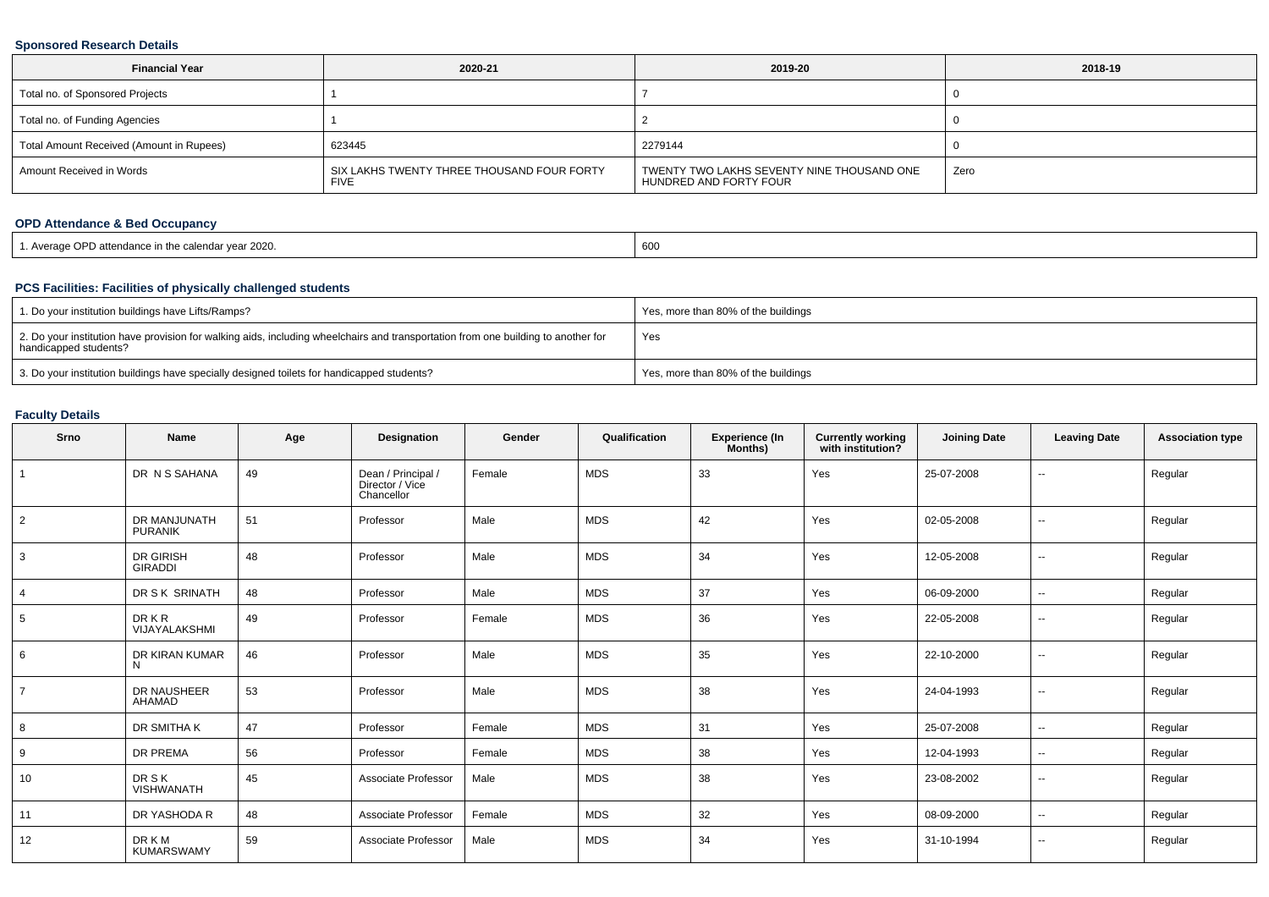#### **Sponsored Research Details**

| <b>Financial Year</b>                    | 2020-21                                                   | 2019-20                                                              | 2018-19 |
|------------------------------------------|-----------------------------------------------------------|----------------------------------------------------------------------|---------|
| Total no. of Sponsored Projects          |                                                           |                                                                      |         |
| Total no. of Funding Agencies            |                                                           |                                                                      |         |
| Total Amount Received (Amount in Rupees) | 623445                                                    | 2279144                                                              |         |
| Amount Received in Words                 | SIX LAKHS TWENTY THREE THOUSAND FOUR FORTY<br><b>FIVE</b> | TWENTY TWO LAKHS SEVENTY NINE THOUSAND ONE<br>HUNDRED AND FORTY FOUR | Zero    |

## **OPD Attendance & Bed Occupancy**

| 1. Average OPD attendance in the calendar vear 2020. | 600 |
|------------------------------------------------------|-----|
|------------------------------------------------------|-----|

## **PCS Facilities: Facilities of physically challenged students**

| 1. Do your institution buildings have Lifts/Ramps?                                                                                                         | Yes, more than 80% of the buildings |
|------------------------------------------------------------------------------------------------------------------------------------------------------------|-------------------------------------|
| 2. Do your institution have provision for walking aids, including wheelchairs and transportation from one building to another for<br>handicapped students? | Yes                                 |
| 3. Do your institution buildings have specially designed toilets for handicapped students?                                                                 | Yes, more than 80% of the buildings |

### **Faculty Details**

| Srno           | <b>Name</b>                        | Age | Designation                                         | Gender | Qualification | <b>Experience (In</b><br>Months) | <b>Currently working</b><br>with institution? | <b>Joining Date</b> | <b>Leaving Date</b> | <b>Association type</b> |
|----------------|------------------------------------|-----|-----------------------------------------------------|--------|---------------|----------------------------------|-----------------------------------------------|---------------------|---------------------|-------------------------|
|                | DR N S SAHANA                      | 49  | Dean / Principal /<br>Director / Vice<br>Chancellor | Female | <b>MDS</b>    | 33                               | Yes                                           | 25-07-2008          | $\sim$              | Regular                 |
| $\overline{2}$ | DR MANJUNATH<br><b>PURANIK</b>     | 51  | Professor                                           | Male   | <b>MDS</b>    | 42                               | Yes                                           | 02-05-2008          | $\sim$              | Regular                 |
| 3              | <b>DR GIRISH</b><br><b>GIRADDI</b> | 48  | Professor                                           | Male   | <b>MDS</b>    | 34                               | Yes                                           | 12-05-2008          | $\sim$              | Regular                 |
|                | DR S K SRINATH                     | 48  | Professor                                           | Male   | <b>MDS</b>    | 37                               | Yes                                           | 06-09-2000          | $\sim$              | Regular                 |
| 5              | <b>DRKR</b><br>VIJAYALAKSHMI       | 49  | Professor                                           | Female | <b>MDS</b>    | 36                               | Yes                                           | 22-05-2008          | $\sim$              | Regular                 |
| 6              | DR KIRAN KUMAR<br>N                | 46  | Professor                                           | Male   | <b>MDS</b>    | 35                               | Yes                                           | 22-10-2000          | $\sim$              | Regular                 |
|                | DR NAUSHEER<br>AHAMAD              | 53  | Professor                                           | Male   | <b>MDS</b>    | 38                               | Yes                                           | 24-04-1993          | $\sim$              | Regular                 |
| 8              | DR SMITHA K                        | 47  | Professor                                           | Female | <b>MDS</b>    | 31                               | Yes                                           | 25-07-2008          | $\sim$              | Regular                 |
| 9              | DR PREMA                           | 56  | Professor                                           | Female | <b>MDS</b>    | 38                               | Yes                                           | 12-04-1993          | $\sim$              | Regular                 |
| 10             | <b>DRSK</b><br><b>VISHWANATH</b>   | 45  | Associate Professor                                 | Male   | <b>MDS</b>    | 38                               | Yes                                           | 23-08-2002          | $\sim$              | Regular                 |
| 11             | DR YASHODA R                       | 48  | Associate Professor                                 | Female | <b>MDS</b>    | 32                               | Yes                                           | 08-09-2000          | $\sim$              | Regular                 |
| 12             | <b>DRKM</b><br><b>KUMARSWAMY</b>   | 59  | Associate Professor                                 | Male   | <b>MDS</b>    | 34                               | Yes                                           | 31-10-1994          | $\sim$              | Regular                 |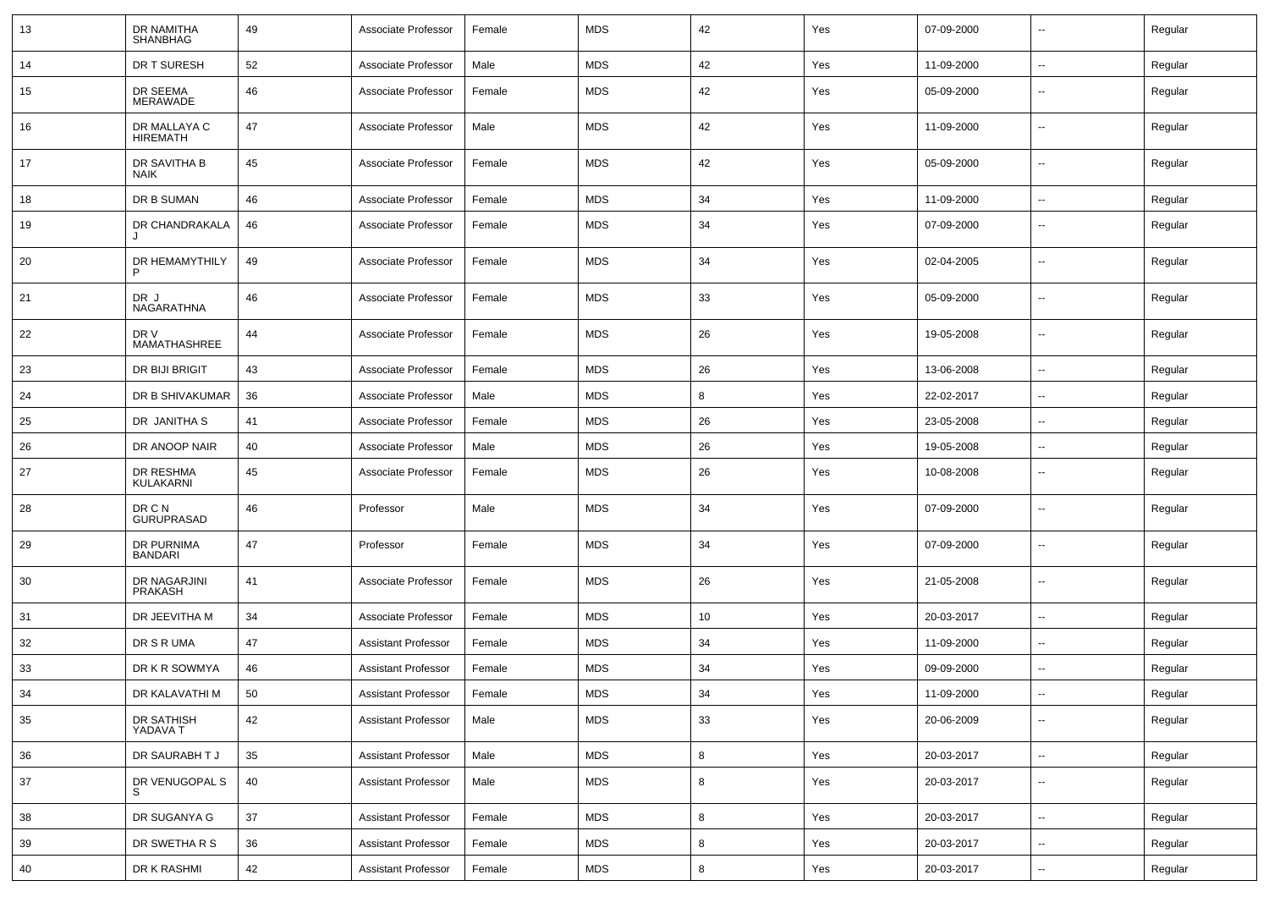| 13 | DR NAMITHA<br><b>SHANBHAG</b>   | 49 | Associate Professor        | Female | <b>MDS</b> | 42      | Yes | 07-09-2000 | $\overline{\phantom{a}}$ | Regular |
|----|---------------------------------|----|----------------------------|--------|------------|---------|-----|------------|--------------------------|---------|
| 14 | DR T SURESH                     | 52 | Associate Professor        | Male   | <b>MDS</b> | 42      | Yes | 11-09-2000 | $\overline{\phantom{a}}$ | Regular |
| 15 | DR SEEMA<br><b>MERAWADE</b>     | 46 | Associate Professor        | Female | <b>MDS</b> | 42      | Yes | 05-09-2000 | --                       | Regular |
| 16 | DR MALLAYA C<br><b>HIREMATH</b> | 47 | Associate Professor        | Male   | <b>MDS</b> | 42      | Yes | 11-09-2000 | --                       | Regular |
| 17 | DR SAVITHA B<br><b>NAIK</b>     | 45 | Associate Professor        | Female | <b>MDS</b> | 42      | Yes | 05-09-2000 | --                       | Regular |
| 18 | DR B SUMAN                      | 46 | Associate Professor        | Female | <b>MDS</b> | 34      | Yes | 11-09-2000 | --                       | Regular |
| 19 | DR CHANDRAKALA                  | 46 | Associate Professor        | Female | <b>MDS</b> | 34      | Yes | 07-09-2000 | ⊷.                       | Regular |
| 20 | DR HEMAMYTHILY<br>P             | 49 | Associate Professor        | Female | <b>MDS</b> | 34      | Yes | 02-04-2005 | $\overline{\phantom{a}}$ | Regular |
| 21 | DR J<br>NAGARATHNA              | 46 | Associate Professor        | Female | <b>MDS</b> | 33      | Yes | 05-09-2000 | $\overline{\phantom{a}}$ | Regular |
| 22 | DR V<br>MAMATHASHREE            | 44 | Associate Professor        | Female | <b>MDS</b> | 26      | Yes | 19-05-2008 | ⊷.                       | Regular |
| 23 | DR BIJI BRIGIT                  | 43 | Associate Professor        | Female | <b>MDS</b> | 26      | Yes | 13-06-2008 | $\overline{\phantom{a}}$ | Regular |
| 24 | DR B SHIVAKUMAR                 | 36 | Associate Professor        | Male   | <b>MDS</b> | 8       | Yes | 22-02-2017 | $\overline{\phantom{a}}$ | Regular |
| 25 | DR JANITHA S                    | 41 | Associate Professor        | Female | <b>MDS</b> | 26      | Yes | 23-05-2008 | --                       | Regular |
| 26 | DR ANOOP NAIR                   | 40 | Associate Professor        | Male   | <b>MDS</b> | 26      | Yes | 19-05-2008 | $\overline{\phantom{a}}$ | Regular |
| 27 | DR RESHMA<br>KULAKARNI          | 45 | Associate Professor        | Female | <b>MDS</b> | 26      | Yes | 10-08-2008 | ⊷.                       | Regular |
| 28 | DR C N<br><b>GURUPRASAD</b>     | 46 | Professor                  | Male   | <b>MDS</b> | 34      | Yes | 07-09-2000 | $\overline{\phantom{a}}$ | Regular |
| 29 | DR PURNIMA<br><b>BANDARI</b>    | 47 | Professor                  | Female | <b>MDS</b> | 34      | Yes | 07-09-2000 | $\overline{\phantom{a}}$ | Regular |
| 30 | DR NAGARJINI<br>PRAKASH         | 41 | Associate Professor        | Female | <b>MDS</b> | 26      | Yes | 21-05-2008 | --                       | Regular |
| 31 | DR JEEVITHA M                   | 34 | Associate Professor        | Female | <b>MDS</b> | 10      | Yes | 20-03-2017 | $\overline{\phantom{a}}$ | Regular |
| 32 | DR S R UMA                      | 47 | <b>Assistant Professor</b> | Female | <b>MDS</b> | 34      | Yes | 11-09-2000 | н.                       | Regular |
| 33 | DR K R SOWMYA                   | 46 | <b>Assistant Professor</b> | Female | <b>MDS</b> | 34      | Yes | 09-09-2000 | $\overline{\phantom{a}}$ | Regular |
| 34 | DR KALAVATHI M                  | 50 | Assistant Professor        | Female | MDS        | 34      | Yes | 11-09-2000 | ⊷.                       | Regular |
| 35 | DR SATHISH<br>YADAVA T          | 42 | <b>Assistant Professor</b> | Male   | <b>MDS</b> | 33      | Yes | 20-06-2009 | $\sim$                   | Regular |
| 36 | DR SAURABH T J                  | 35 | <b>Assistant Professor</b> | Male   | <b>MDS</b> | $\bf8$  | Yes | 20-03-2017 | Щ.                       | Regular |
| 37 | DR VENUGOPAL S                  | 40 | <b>Assistant Professor</b> | Male   | <b>MDS</b> | 8       | Yes | 20-03-2017 | щ.                       | Regular |
| 38 | DR SUGANYA G                    | 37 | <b>Assistant Professor</b> | Female | <b>MDS</b> | 8       | Yes | 20-03-2017 | Щ.                       | Regular |
| 39 | DR SWETHA R S                   | 36 | Assistant Professor        | Female | <b>MDS</b> | 8       | Yes | 20-03-2017 | щ.                       | Regular |
| 40 | DR K RASHMI                     | 42 | <b>Assistant Professor</b> | Female | <b>MDS</b> | $\bf 8$ | Yes | 20-03-2017 | н.                       | Regular |